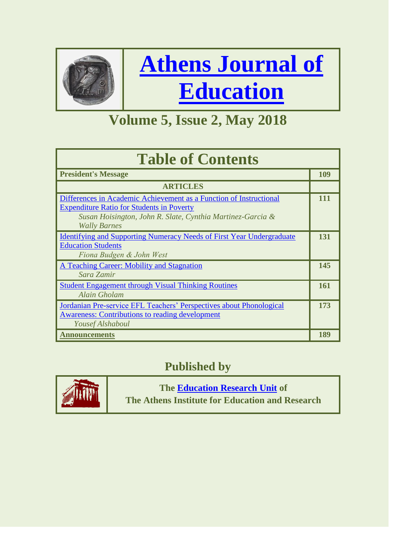

# **[Athens Journal of](https://www.athensjournals.gr/aje)  [Education](https://www.athensjournals.gr/aje)**

### **Volume 5, Issue 2, May 2018**

| <b>Table of Contents</b>                                                                                                                                                                                    |     |
|-------------------------------------------------------------------------------------------------------------------------------------------------------------------------------------------------------------|-----|
| <b>President's Message</b>                                                                                                                                                                                  | 109 |
| <b>ARTICLES</b>                                                                                                                                                                                             |     |
| Differences in Academic Achievement as a Function of Instructional<br><b>Expenditure Ratio for Students in Poverty</b><br>Susan Hoisington, John R. Slate, Cynthia Martinez-Garcia &<br><b>Wally Barnes</b> | 111 |
| <b>Identifying and Supporting Numeracy Needs of First Year Undergraduate</b><br><b>Education Students</b><br>Fiona Budgen & John West                                                                       | 131 |
| A Teaching Career: Mobility and Stagnation<br>Sara Zamir                                                                                                                                                    | 145 |
| <b>Student Engagement through Visual Thinking Routines</b><br><b>Alain Gholam</b>                                                                                                                           | 161 |
| Jordanian Pre-service EFL Teachers' Perspectives about Phonological<br><b>Awareness: Contributions to reading development</b><br>Yousef Alshaboul                                                           | 173 |
| <b>Announcements</b>                                                                                                                                                                                        | 189 |

#### **Published by**



**The [Education Research Unit](http://www.atiner.gr/docs/EDUCATION_UNIT.htm) of The Athens Institute for Education and Research**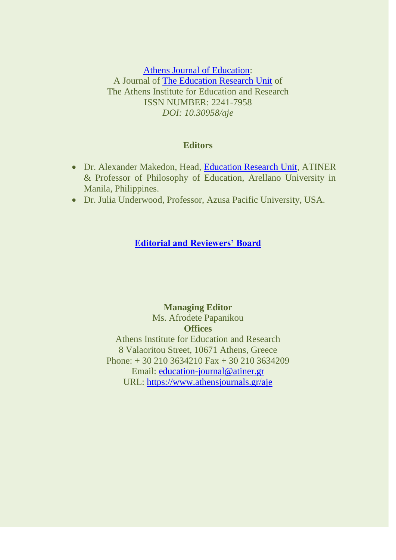[Athens Journal of Education:](https://www.athensjournals.gr/aje) A Journal of [The Education Research Unit](http://www.atiner.gr/EDUCATION-UNIT.htm) of The Athens Institute for Education and Research ISSN NUMBER: 2241-7958 *DOI: 10.30958/aje*

#### **Editors**

- Dr. Alexander Makedon, Head, [Education Research Unit,](http://www.atiner.gr/docs/EDUCATION_UNIT.htm) ATINER & Professor of Philosophy of Education, Arellano University in Manila, Philippines.
- Dr. Julia Underwood, Professor, Azusa Pacific University, USA.

#### **[Editorial and Reviewers' Board](https://www.athensjournals.gr/aje/eb)**

#### **Managing Editor**

Ms. Afrodete Papanikou **Offices** Athens Institute for Education and Research 8 Valaoritou Street, 10671 Athens, Greece Phone: + 30 210 3634210 Fax + 30 210 3634209 Email: [education-journal@atiner.gr](mailto:education-journal@atiner.gr) URL:<https://www.athensjournals.gr/aje>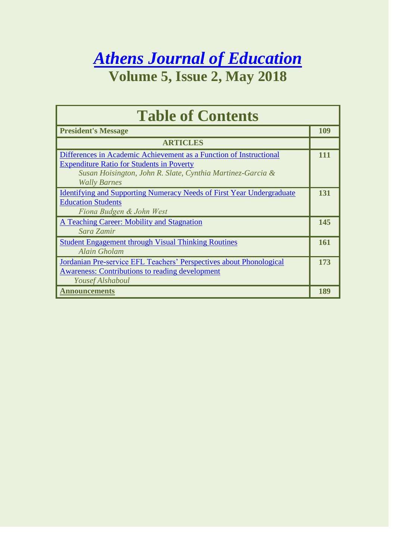## *[Athens Journal of Education](https://www.athensjournals.gr/aje)*

**Volume 5, Issue 2, May 2018**

| <b>Table of Contents</b>                                                                                                                                                                                    |            |
|-------------------------------------------------------------------------------------------------------------------------------------------------------------------------------------------------------------|------------|
| <b>President's Message</b>                                                                                                                                                                                  | 109        |
| <b>ARTICLES</b>                                                                                                                                                                                             |            |
| Differences in Academic Achievement as a Function of Instructional<br><b>Expenditure Ratio for Students in Poverty</b><br>Susan Hoisington, John R. Slate, Cynthia Martinez-Garcia &<br><b>Wally Barnes</b> | 111        |
| <b>Identifying and Supporting Numeracy Needs of First Year Undergraduate</b><br><b>Education Students</b><br>Fiona Budgen & John West                                                                       | <b>131</b> |
| A Teaching Career: Mobility and Stagnation<br>Sara Zamir                                                                                                                                                    | 145        |
| <b>Student Engagement through Visual Thinking Routines</b><br>Alain Gholam                                                                                                                                  | <b>161</b> |
| Jordanian Pre-service EFL Teachers' Perspectives about Phonological<br><b>Awareness: Contributions to reading development</b><br>Yousef Alshaboul                                                           | 173        |
| <b>Announcements</b>                                                                                                                                                                                        | <b>189</b> |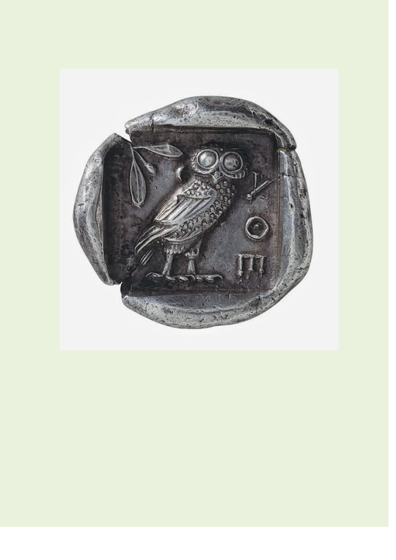